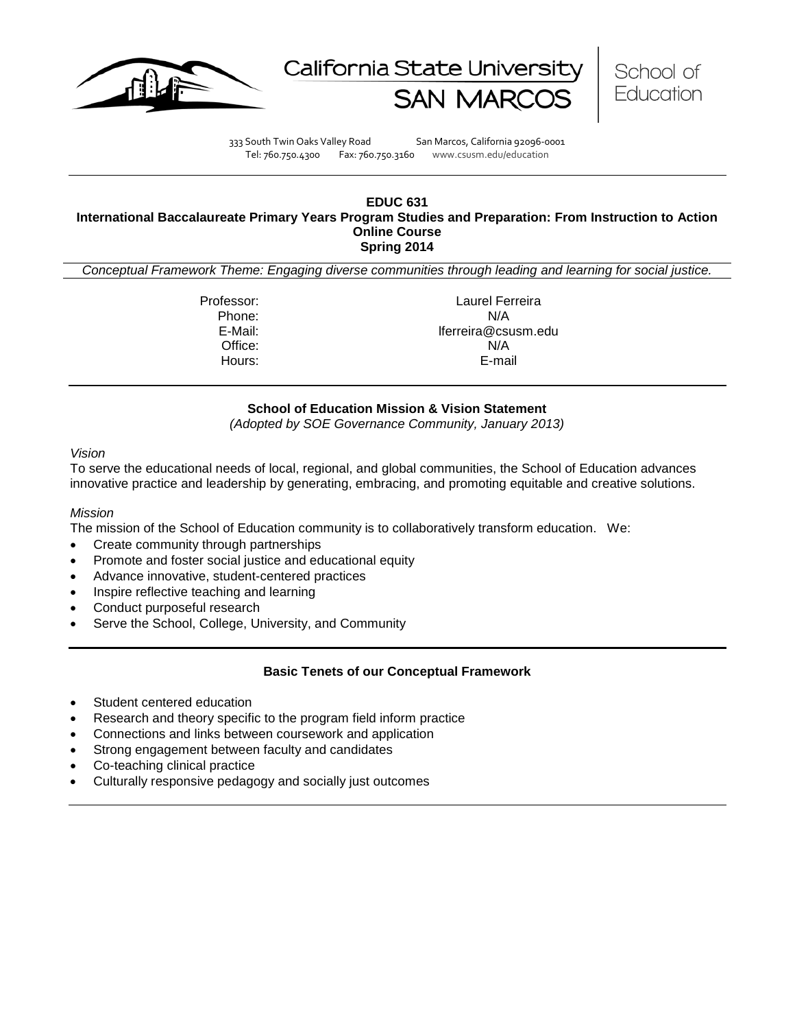





333 South Twin Oaks Valley Road San Marcos, California 92096-0001 Tel: 760.750.4300 Fax: 760.750.3160 www.csusm.edu/education

#### **EDUC 631 International Baccalaureate Primary Years Program Studies and Preparation: From Instruction to Action Online Course Spring 2014**

*Conceptual Framework Theme: Engaging diverse communities through leading and learning for social justice.*

Professor: Laurel Ferreira Phone: N/A<br>E-Mail: E-Mail: E-Mail: E-Mail: E-Mail: E-Mail: E-Mail: E-Mail: E-Mail: E-Mail: E-Mail: E-Mail: E-Mail: E-Mail lferreira@csusm.edu Office: N/A Hours: E-mail

## **School of Education Mission & Vision Statement**

*(Adopted by SOE Governance Community, January 2013)*

#### *Vision*

To serve the educational needs of local, regional, and global communities, the School of Education advances innovative practice and leadership by generating, embracing, and promoting equitable and creative solutions.

#### *Mission*

The mission of the School of Education community is to collaboratively transform education. We:

- Create community through partnerships
- Promote and foster social justice and educational equity
- Advance innovative, student-centered practices
- Inspire reflective teaching and learning
- Conduct purposeful research
- Serve the School, College, University, and Community

## **Basic Tenets of our Conceptual Framework**

- Student centered education
- Research and theory specific to the program field inform practice
- Connections and links between coursework and application
- Strong engagement between faculty and candidates
- Co-teaching clinical practice
- Culturally responsive pedagogy and socially just outcomes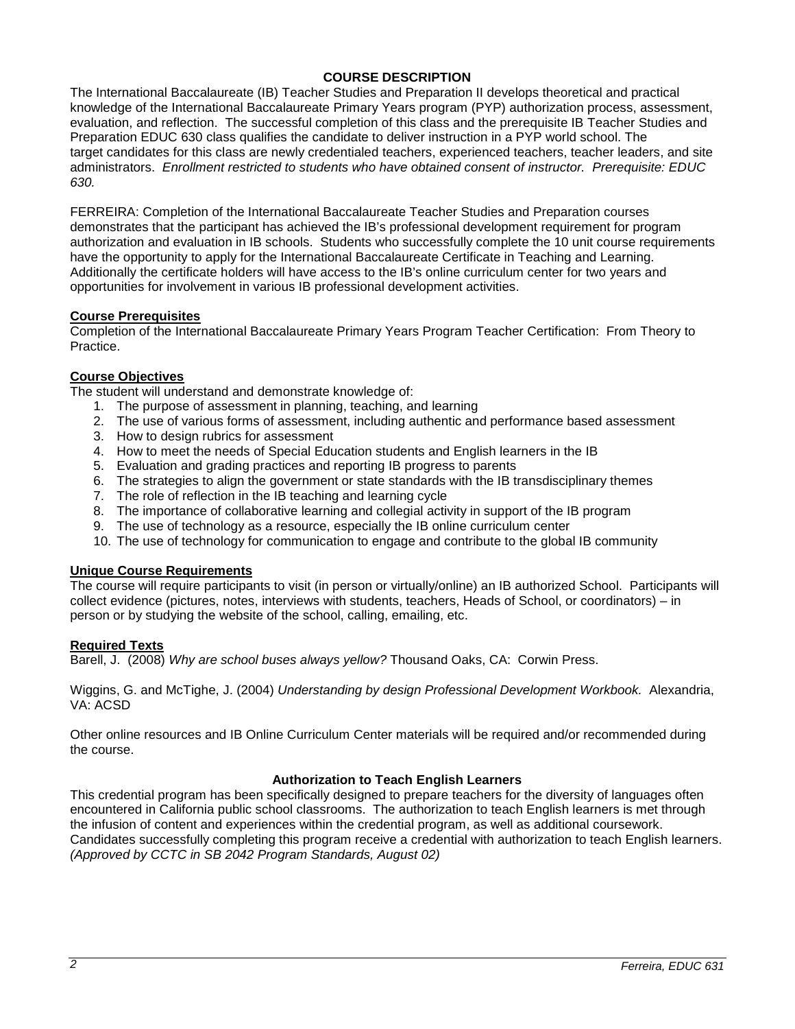## **COURSE DESCRIPTION**

The International Baccalaureate (IB) Teacher Studies and Preparation II develops theoretical and practical knowledge of the International Baccalaureate Primary Years program (PYP) authorization process, assessment, evaluation, and reflection. The successful completion of this class and the prerequisite IB Teacher Studies and Preparation EDUC 630 class qualifies the candidate to deliver instruction in a PYP world school. The target candidates for this class are newly credentialed teachers, experienced teachers, teacher leaders, and site administrators. *Enrollment restricted to students who have obtained consent of instructor. Prerequisite: EDUC 630.*

FERREIRA: Completion of the International Baccalaureate Teacher Studies and Preparation courses demonstrates that the participant has achieved the IB's professional development requirement for program authorization and evaluation in IB schools. Students who successfully complete the 10 unit course requirements have the opportunity to apply for the International Baccalaureate Certificate in Teaching and Learning. Additionally the certificate holders will have access to the IB's online curriculum center for two years and opportunities for involvement in various IB professional development activities.

## **Course Prerequisites**

Completion of the International Baccalaureate Primary Years Program Teacher Certification: From Theory to **Practice** 

## **Course Objectives**

The student will understand and demonstrate knowledge of:

- 1. The purpose of assessment in planning, teaching, and learning
- 2. The use of various forms of assessment, including authentic and performance based assessment
- 3. How to design rubrics for assessment
- 4. How to meet the needs of Special Education students and English learners in the IB
- 5. Evaluation and grading practices and reporting IB progress to parents
- 6. The strategies to align the government or state standards with the IB transdisciplinary themes
- 7. The role of reflection in the IB teaching and learning cycle
- 8. The importance of collaborative learning and collegial activity in support of the IB program
- 9. The use of technology as a resource, especially the IB online curriculum center
- 10. The use of technology for communication to engage and contribute to the global IB community

### **Unique Course Requirements**

The course will require participants to visit (in person or virtually/online) an IB authorized School. Participants will collect evidence (pictures, notes, interviews with students, teachers, Heads of School, or coordinators) – in person or by studying the website of the school, calling, emailing, etc.

#### **Required Texts**

Barell, J. (2008) *Why are school buses always yellow?* Thousand Oaks, CA: Corwin Press.

Wiggins, G. and McTighe, J. (2004) *Understanding by design Professional Development Workbook.* Alexandria, VA: ACSD

Other online resources and IB Online Curriculum Center materials will be required and/or recommended during the course.

## **Authorization to Teach English Learners**

This credential program has been specifically designed to prepare teachers for the diversity of languages often encountered in California public school classrooms. The authorization to teach English learners is met through the infusion of content and experiences within the credential program, as well as additional coursework. Candidates successfully completing this program receive a credential with authorization to teach English learners. *(Approved by CCTC in SB 2042 Program Standards, August 02)*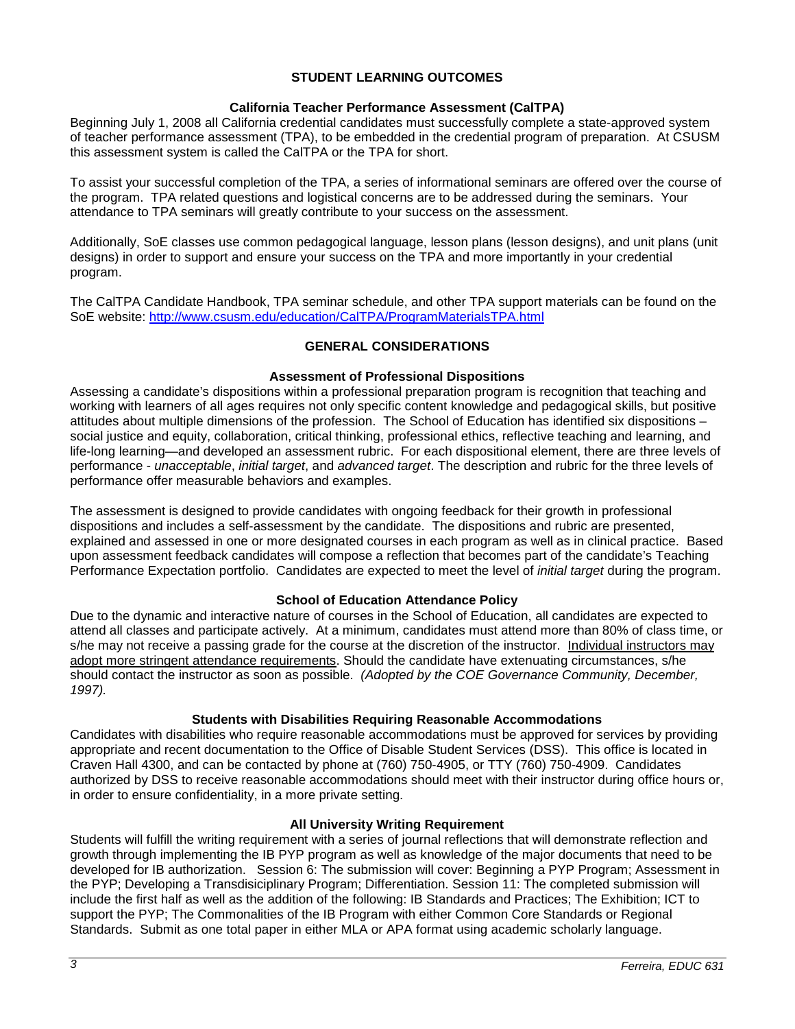## **STUDENT LEARNING OUTCOMES**

### **California Teacher Performance Assessment (CalTPA)**

Beginning July 1, 2008 all California credential candidates must successfully complete a state-approved system of teacher performance assessment (TPA), to be embedded in the credential program of preparation. At CSUSM this assessment system is called the CalTPA or the TPA for short.

To assist your successful completion of the TPA, a series of informational seminars are offered over the course of the program. TPA related questions and logistical concerns are to be addressed during the seminars. Your attendance to TPA seminars will greatly contribute to your success on the assessment.

Additionally, SoE classes use common pedagogical language, lesson plans (lesson designs), and unit plans (unit designs) in order to support and ensure your success on the TPA and more importantly in your credential program.

The CalTPA Candidate Handbook, TPA seminar schedule, and other TPA support materials can be found on the SoE website: <http://www.csusm.edu/education/CalTPA/ProgramMaterialsTPA.html>

## **GENERAL CONSIDERATIONS**

### **Assessment of Professional Dispositions**

Assessing a candidate's dispositions within a professional preparation program is recognition that teaching and working with learners of all ages requires not only specific content knowledge and pedagogical skills, but positive attitudes about multiple dimensions of the profession. The School of Education has identified six dispositions – social justice and equity, collaboration, critical thinking, professional ethics, reflective teaching and learning, and life-long learning—and developed an assessment rubric. For each dispositional element, there are three levels of performance - *unacceptable*, *initial target*, and *advanced target*. The description and rubric for the three levels of performance offer measurable behaviors and examples.

The assessment is designed to provide candidates with ongoing feedback for their growth in professional dispositions and includes a self-assessment by the candidate. The dispositions and rubric are presented, explained and assessed in one or more designated courses in each program as well as in clinical practice. Based upon assessment feedback candidates will compose a reflection that becomes part of the candidate's Teaching Performance Expectation portfolio. Candidates are expected to meet the level of *initial target* during the program.

## **School of Education Attendance Policy**

Due to the dynamic and interactive nature of courses in the School of Education, all candidates are expected to attend all classes and participate actively. At a minimum, candidates must attend more than 80% of class time, or s/he may not receive a passing grade for the course at the discretion of the instructor. Individual instructors may adopt more stringent attendance requirements. Should the candidate have extenuating circumstances, s/he should contact the instructor as soon as possible. *(Adopted by the COE Governance Community, December, 1997).*

#### **Students with Disabilities Requiring Reasonable Accommodations**

Candidates with disabilities who require reasonable accommodations must be approved for services by providing appropriate and recent documentation to the Office of Disable Student Services (DSS). This office is located in Craven Hall 4300, and can be contacted by phone at (760) 750-4905, or TTY (760) 750-4909. Candidates authorized by DSS to receive reasonable accommodations should meet with their instructor during office hours or, in order to ensure confidentiality, in a more private setting.

#### **All University Writing Requirement**

Students will fulfill the writing requirement with a series of journal reflections that will demonstrate reflection and growth through implementing the IB PYP program as well as knowledge of the major documents that need to be developed for IB authorization. Session 6: The submission will cover: Beginning a PYP Program; Assessment in the PYP; Developing a Transdisiciplinary Program; Differentiation. Session 11: The completed submission will include the first half as well as the addition of the following: IB Standards and Practices; The Exhibition; ICT to support the PYP; The Commonalities of the IB Program with either Common Core Standards or Regional Standards. Submit as one total paper in either MLA or APA format using academic scholarly language.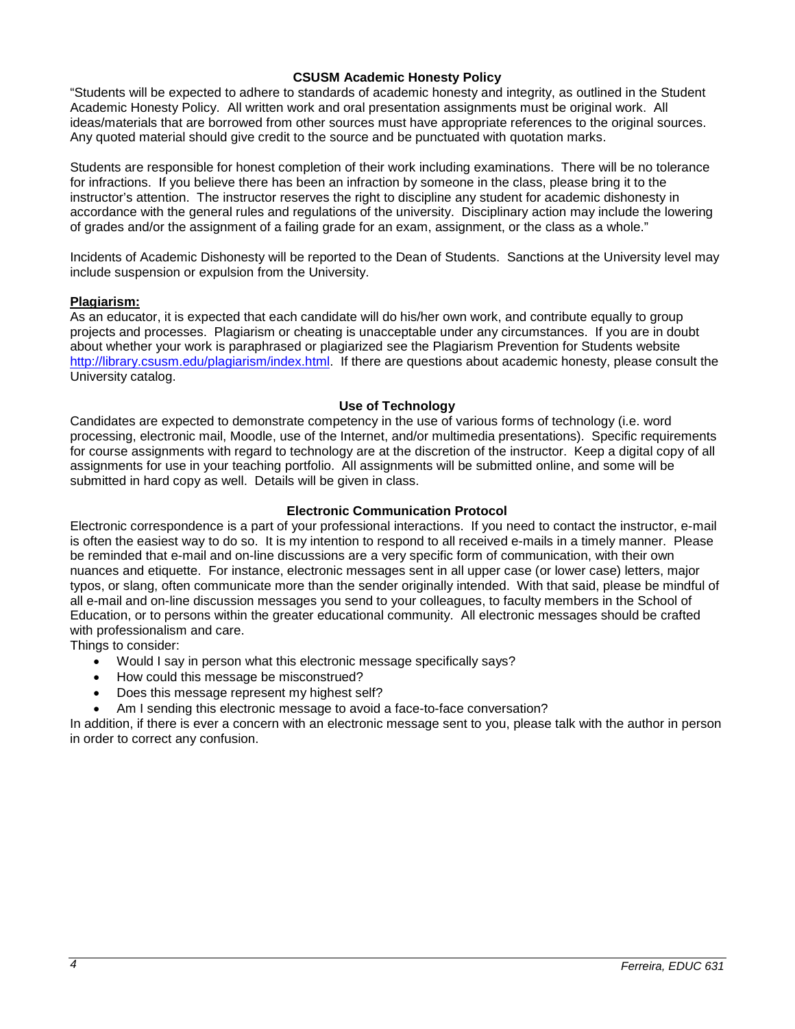### **CSUSM Academic Honesty Policy**

"Students will be expected to adhere to standards of academic honesty and integrity, as outlined in the Student Academic Honesty Policy. All written work and oral presentation assignments must be original work. All ideas/materials that are borrowed from other sources must have appropriate references to the original sources. Any quoted material should give credit to the source and be punctuated with quotation marks.

Students are responsible for honest completion of their work including examinations. There will be no tolerance for infractions. If you believe there has been an infraction by someone in the class, please bring it to the instructor's attention. The instructor reserves the right to discipline any student for academic dishonesty in accordance with the general rules and regulations of the university. Disciplinary action may include the lowering of grades and/or the assignment of a failing grade for an exam, assignment, or the class as a whole."

Incidents of Academic Dishonesty will be reported to the Dean of Students. Sanctions at the University level may include suspension or expulsion from the University.

### **Plagiarism:**

As an educator, it is expected that each candidate will do his/her own work, and contribute equally to group projects and processes. Plagiarism or cheating is unacceptable under any circumstances. If you are in doubt about whether your work is paraphrased or plagiarized see the Plagiarism Prevention for Students website [http://library.csusm.edu/plagiarism/index.html.](http://library.csusm.edu/plagiarism/index.html) If there are questions about academic honesty, please consult the University catalog.

#### **Use of Technology**

Candidates are expected to demonstrate competency in the use of various forms of technology (i.e. word processing, electronic mail, Moodle, use of the Internet, and/or multimedia presentations). Specific requirements for course assignments with regard to technology are at the discretion of the instructor. Keep a digital copy of all assignments for use in your teaching portfolio. All assignments will be submitted online, and some will be submitted in hard copy as well. Details will be given in class.

### **Electronic Communication Protocol**

Electronic correspondence is a part of your professional interactions. If you need to contact the instructor, e-mail is often the easiest way to do so. It is my intention to respond to all received e-mails in a timely manner. Please be reminded that e-mail and on-line discussions are a very specific form of communication, with their own nuances and etiquette. For instance, electronic messages sent in all upper case (or lower case) letters, major typos, or slang, often communicate more than the sender originally intended. With that said, please be mindful of all e-mail and on-line discussion messages you send to your colleagues, to faculty members in the School of Education, or to persons within the greater educational community. All electronic messages should be crafted with professionalism and care.

Things to consider:

- Would I say in person what this electronic message specifically says?
- How could this message be misconstrued?
- Does this message represent my highest self?
- Am I sending this electronic message to avoid a face-to-face conversation?

In addition, if there is ever a concern with an electronic message sent to you, please talk with the author in person in order to correct any confusion.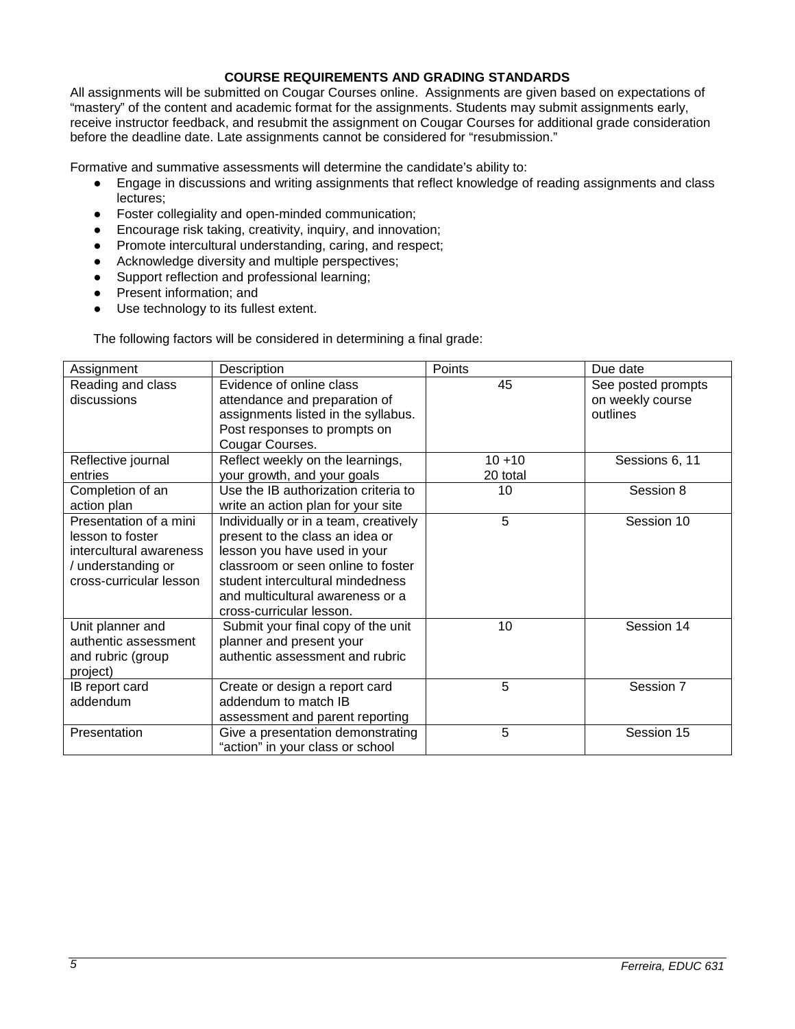### **COURSE REQUIREMENTS AND GRADING STANDARDS**

All assignments will be submitted on Cougar Courses online. Assignments are given based on expectations of "mastery" of the content and academic format for the assignments. Students may submit assignments early, receive instructor feedback, and resubmit the assignment on Cougar Courses for additional grade consideration before the deadline date. Late assignments cannot be considered for "resubmission."

Formative and summative assessments will determine the candidate's ability to:

- Engage in discussions and writing assignments that reflect knowledge of reading assignments and class lectures;
- Foster collegiality and open-minded communication;
- Encourage risk taking, creativity, inquiry, and innovation;
- Promote intercultural understanding, caring, and respect;
- Acknowledge diversity and multiple perspectives;
- Support reflection and professional learning;
- Present information; and
- Use technology to its fullest extent.

The following factors will be considered in determining a final grade:

| Assignment                                                                                                             | Description                                                                                                                                                                                                                                        | Points                | Due date                                           |
|------------------------------------------------------------------------------------------------------------------------|----------------------------------------------------------------------------------------------------------------------------------------------------------------------------------------------------------------------------------------------------|-----------------------|----------------------------------------------------|
| Reading and class<br>discussions                                                                                       | Evidence of online class<br>attendance and preparation of<br>assignments listed in the syllabus.<br>Post responses to prompts on                                                                                                                   | 45                    | See posted prompts<br>on weekly course<br>outlines |
|                                                                                                                        | Cougar Courses.                                                                                                                                                                                                                                    |                       |                                                    |
| Reflective journal<br>entries                                                                                          | Reflect weekly on the learnings,<br>your growth, and your goals                                                                                                                                                                                    | $10 + 10$<br>20 total | Sessions 6, 11                                     |
| Completion of an<br>action plan                                                                                        | Use the IB authorization criteria to<br>write an action plan for your site                                                                                                                                                                         | 10                    | Session 8                                          |
| Presentation of a mini<br>lesson to foster<br>intercultural awareness<br>/ understanding or<br>cross-curricular lesson | Individually or in a team, creatively<br>present to the class an idea or<br>lesson you have used in your<br>classroom or seen online to foster<br>student intercultural mindedness<br>and multicultural awareness or a<br>cross-curricular lesson. | 5                     | Session 10                                         |
| Unit planner and<br>authentic assessment<br>and rubric (group<br>project)                                              | Submit your final copy of the unit<br>planner and present your<br>authentic assessment and rubric                                                                                                                                                  | 10                    | Session 14                                         |
| IB report card<br>addendum                                                                                             | Create or design a report card<br>addendum to match IB<br>assessment and parent reporting                                                                                                                                                          | 5                     | Session 7                                          |
| Presentation                                                                                                           | Give a presentation demonstrating<br>"action" in your class or school                                                                                                                                                                              | 5                     | Session 15                                         |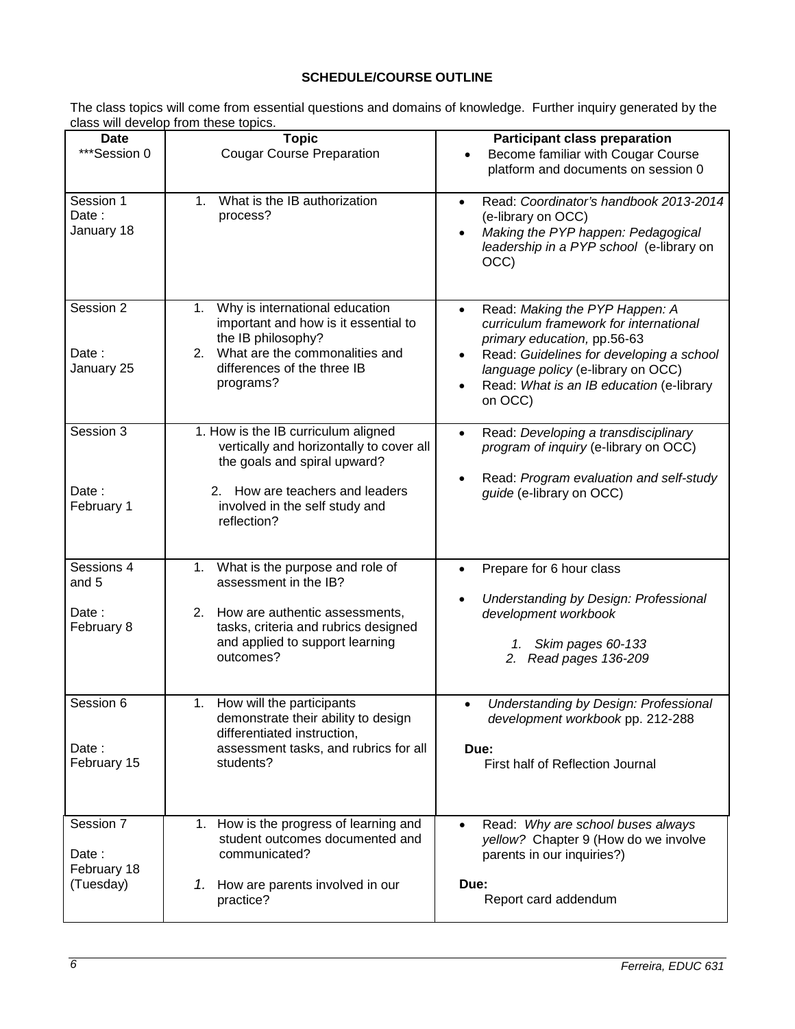# **SCHEDULE/COURSE OUTLINE**

The class topics will come from essential questions and domains of knowledge. Further inquiry generated by the class will develop from these topics.

| Date<br>***Session 0                           | <b>Topic</b><br><b>Cougar Course Preparation</b>                                                                                                                                                    | <b>Participant class preparation</b><br>Become familiar with Cougar Course<br>$\bullet$<br>platform and documents on session 0                                                                                                                                |
|------------------------------------------------|-----------------------------------------------------------------------------------------------------------------------------------------------------------------------------------------------------|---------------------------------------------------------------------------------------------------------------------------------------------------------------------------------------------------------------------------------------------------------------|
| Session 1<br>Date:<br>January 18               | What is the IB authorization<br>$1_{\cdot}$<br>process?                                                                                                                                             | Read: Coordinator's handbook 2013-2014<br>$\bullet$<br>(e-library on OCC)<br>Making the PYP happen: Pedagogical<br>leadership in a PYP school (e-library on<br>OCC)                                                                                           |
| Session 2<br>Date:<br>January 25               | 1. Why is international education<br>important and how is it essential to<br>the IB philosophy?<br>2. What are the commonalities and<br>differences of the three IB<br>programs?                    | Read: Making the PYP Happen: A<br>$\bullet$<br>curriculum framework for international<br>primary education, pp.56-63<br>Read: Guidelines for developing a school<br>language policy (e-library on OCC)<br>Read: What is an IB education (e-library<br>on OCC) |
| Session 3<br>Date:<br>February 1               | 1. How is the IB curriculum aligned<br>vertically and horizontally to cover all<br>the goals and spiral upward?<br>2. How are teachers and leaders<br>involved in the self study and<br>reflection? | Read: Developing a transdisciplinary<br>$\bullet$<br>program of inquiry (e-library on OCC)<br>Read: Program evaluation and self-study<br>guide (e-library on OCC)                                                                                             |
| Sessions 4<br>and 5<br>Date:<br>February 8     | 1. What is the purpose and role of<br>assessment in the IB?<br>2. How are authentic assessments,<br>tasks, criteria and rubrics designed<br>and applied to support learning<br>outcomes?            | Prepare for 6 hour class<br>$\bullet$<br>Understanding by Design: Professional<br>development workbook<br>1. Skim pages 60-133<br>2. Read pages 136-209                                                                                                       |
| Session 6<br>Date :<br>February 15             | How will the participants<br>1.<br>demonstrate their ability to design<br>differentiated instruction,<br>assessment tasks, and rubrics for all<br>students?                                         | Understanding by Design: Professional<br>$\bullet$<br>development workbook pp. 212-288<br>Due:<br>First half of Reflection Journal                                                                                                                            |
| Session 7<br>Date:<br>February 18<br>(Tuesday) | 1. How is the progress of learning and<br>student outcomes documented and<br>communicated?<br>1. How are parents involved in our<br>practice?                                                       | Read: Why are school buses always<br>$\bullet$<br>yellow? Chapter 9 (How do we involve<br>parents in our inquiries?)<br>Due:<br>Report card addendum                                                                                                          |